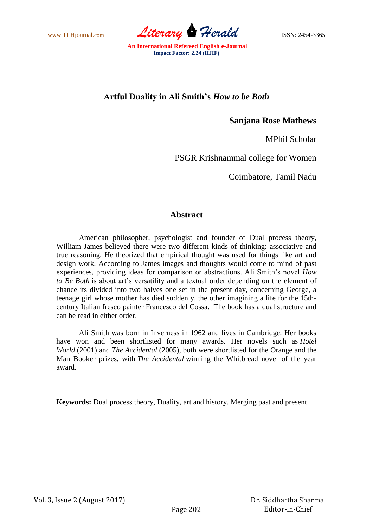www.TLHjournal.com *Literary Herald* ISSN: 2454-3365

## **Artful Duality in Ali Smith's** *How to be Both*

**Sanjana Rose Mathews**

MPhil Scholar

PSGR Krishnammal college for Women

Coimbatore, Tamil Nadu

## **Abstract**

American philosopher, psychologist and founder of Dual process theory, William James believed there were two different kinds of thinking: associative and true reasoning. He theorized that empirical thought was used for things like art and design work. According to James images and thoughts would come to mind of past experiences, providing ideas for comparison or abstractions. Ali Smith's novel *How to Be Both* is about art's versatility and a textual order depending on the element of chance its divided into two halves one set in the present day, concerning George, a teenage girl whose mother has died suddenly, the other imagining a life for the 15thcentury Italian fresco painter Francesco del Cossa. The book has a dual structure and can be read in either order.

Ali Smith was born in Inverness in 1962 and lives in Cambridge. Her books have won and been shortlisted for many awards. Her novels such as *Hotel World* (2001) and *The Accidental* (2005), both were shortlisted for the Orange and the Man Booker prizes, with *The Accidental* winning the Whitbread novel of the year award.

**Keywords:** Dual process theory, Duality, art and history. Merging past and present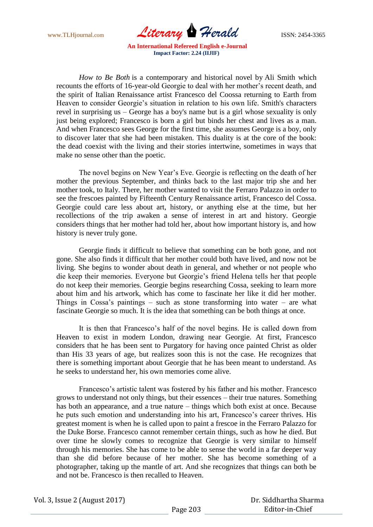www.TLHjournal.com *Literary Herald* ISSN: 2454-3365

*How to Be Both* is a contemporary and historical novel by Ali Smith which recounts the efforts of 16-year-old Georgie to deal with her mother's recent death, and the spirit of Italian Renaissance artist Francesco del Coossa returning to Earth from Heaven to consider Georgie's situation in relation to his own life. Smith's characters revel in surprising us – George has a boy's name but is a girl whose sexuality is only just being explored; Francesco is born a girl but binds her chest and lives as a man. And when Francesco sees George for the first time, she assumes George is a boy, only to discover later that she had been mistaken. This duality is at the core of the book: the dead coexist with the living and their stories intertwine, sometimes in ways that make no sense other than the poetic.

The novel begins on New Year's Eve. Georgie is reflecting on the death of her mother the previous September, and thinks back to the last major trip she and her mother took, to Italy. There, her mother wanted to visit the Ferraro Palazzo in order to see the frescoes painted by Fifteenth Century Renaissance artist, Francesco del Cossa. Georgie could care less about art, history, or anything else at the time, but her recollections of the trip awaken a sense of interest in art and history. Georgie considers things that her mother had told her, about how important history is, and how history is never truly gone.

Georgie finds it difficult to believe that something can be both gone, and not gone. She also finds it difficult that her mother could both have lived, and now not be living. She begins to wonder about death in general, and whether or not people who die keep their memories. Everyone but Georgie's friend Helena tells her that people do not keep their memories. Georgie begins researching Cossa, seeking to learn more about him and his artwork, which has come to fascinate her like it did her mother. Things in Cossa's paintings – such as stone transforming into water – are what fascinate Georgie so much. It is the idea that something can be both things at once.

It is then that Francesco's half of the novel begins. He is called down from Heaven to exist in modern London, drawing near Georgie. At first, Francesco considers that he has been sent to Purgatory for having once painted Christ as older than His 33 years of age, but realizes soon this is not the case. He recognizes that there is something important about Georgie that he has been meant to understand. As he seeks to understand her, his own memories come alive.

Francesco's artistic talent was fostered by his father and his mother. Francesco grows to understand not only things, but their essences – their true natures. Something has both an appearance, and a true nature – things which both exist at once. Because he puts such emotion and understanding into his art, Francesco's career thrives. His greatest moment is when he is called upon to paint a frescoe in the Ferraro Palazzo for the Duke Borse. Francesco cannot remember certain things, such as how he died. But over time he slowly comes to recognize that Georgie is very similar to himself through his memories. She has come to be able to sense the world in a far deeper way than she did before because of her mother. She has become something of a photographer, taking up the mantle of art. And she recognizes that things can both be and not be. Francesco is then recalled to Heaven.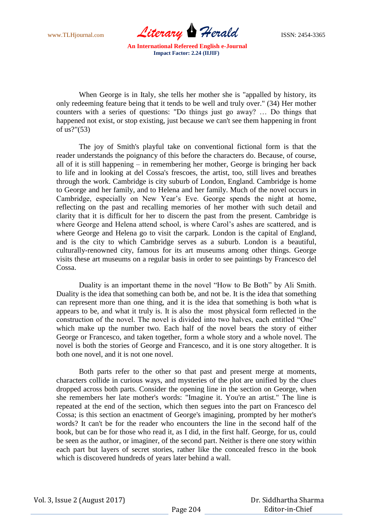www.TLHjournal.com *Literary Herald* ISSN: 2454-3365

When George is in Italy, she tells her mother she is "appalled by history, its only redeeming feature being that it tends to be well and truly over." (34) Her mother counters with a series of questions: "Do things just go away? … Do things that happened not exist, or stop existing, just because we can't see them happening in front of us?"(53)

The joy of Smith's playful take on conventional fictional form is that the reader understands the poignancy of this before the characters do. Because, of course, all of it is still happening – in remembering her mother, George is bringing her back to life and in looking at del Cossa's frescoes, the artist, too, still lives and breathes through the work. Cambridge is city suburb of London, England. Cambridge is home to George and her family, and to Helena and her family. Much of the novel occurs in Cambridge, especially on New Year's Eve. George spends the night at home, reflecting on the past and recalling memories of her mother with such detail and clarity that it is difficult for her to discern the past from the present. Cambridge is where George and Helena attend school, is where Carol's ashes are scattered, and is where George and Helena go to visit the carpark. London is the capital of England, and is the city to which Cambridge serves as a suburb. London is a beautiful, culturally-renowned city, famous for its art museums among other things. George visits these art museums on a regular basis in order to see paintings by Francesco del Cossa.

Duality is an important theme in the novel "How to Be Both" by Ali Smith. Duality is the idea that something can both be, and not be. It is the idea that something can represent more than one thing, and it is the idea that something is both what is appears to be, and what it truly is. It is also the most physical form reflected in the construction of the novel. The novel is divided into two halves, each entitled "One" which make up the number two. Each half of the novel bears the story of either George or Francesco, and taken together, form a whole story and a whole novel. The novel is both the stories of George and Francesco, and it is one story altogether. It is both one novel, and it is not one novel.

Both parts refer to the other so that past and present merge at moments, characters collide in curious ways, and mysteries of the plot are unified by the clues dropped across both parts. Consider the opening line in the section on George, when she remembers her late mother's words: "Imagine it. You're an artist." The line is repeated at the end of the section, which then segues into the part on Francesco del Cossa; is this section an enactment of George's imagining, prompted by her mother's words? It can't be for the reader who encounters the line in the second half of the book, but can be for those who read it, as I did, in the first half. George, for us, could be seen as the author, or imaginer, of the second part. Neither is there one story within each part but layers of secret stories, rather like the concealed fresco in the book which is discovered hundreds of years later behind a wall.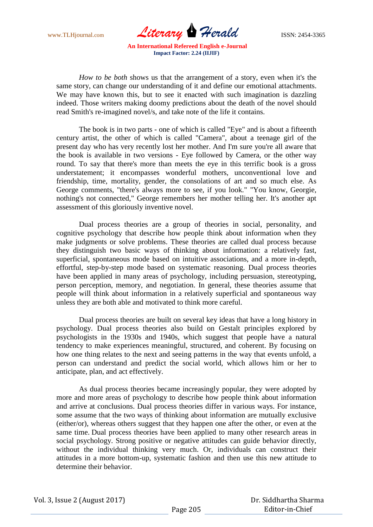www.TLHjournal.com *Literary Herald* ISSN: 2454-3365

*How to be both* shows us that the arrangement of a story, even when it's the same story, can change our understanding of it and define our emotional attachments. We may have known this, but to see it enacted with such imagination is dazzling indeed. Those writers making doomy predictions about the death of the novel should read Smith's re-imagined novel/s, and take note of the life it contains.

The book is in two parts - one of which is called "Eye" and is about a fifteenth century artist, the other of which is called "Camera", about a teenage girl of the present day who has very recently lost her mother. And I'm sure you're all aware that the book is available in two versions - Eye followed by Camera, or the other way round. To say that there's more than meets the eye in this terrific book is a gross understatement; it encompasses wonderful mothers, unconventional love and friendship, time, mortality, gender, the consolations of art and so much else. As George comments, "there's always more to see, if you look." "You know, Georgie, nothing's not connected," George remembers her mother telling her. It's another apt assessment of this gloriously inventive novel.

Dual process theories are a group of theories in social, personality, and cognitive psychology that describe how people think about information when they make judgments or solve problems. These theories are called dual process because they distinguish two basic ways of thinking about information: a relatively fast, superficial, spontaneous mode based on intuitive associations, and a more in-depth, effortful, step-by-step mode based on systematic reasoning. Dual process theories have been applied in many areas of psychology, including persuasion, stereotyping, person perception, memory, and negotiation. In general, these theories assume that people will think about information in a relatively superficial and spontaneous way unless they are both able and motivated to think more careful.

Dual process theories are built on several key ideas that have a long history in psychology. Dual process theories also build on Gestalt principles explored by psychologists in the 1930s and 1940s, which suggest that people have a natural tendency to make experiences meaningful, structured, and coherent. By focusing on how one thing relates to the next and seeing patterns in the way that events unfold, a person can understand and predict the social world, which allows him or her to anticipate, plan, and act effectively.

As dual process theories became increasingly popular, they were adopted by more and more areas of psychology to describe how people think about information and arrive at conclusions. Dual process theories differ in various ways. For instance, some assume that the two ways of thinking about information are mutually exclusive (either/or), whereas others suggest that they happen one after the other, or even at the same time. Dual process theories have been applied to many other research areas in social psychology. Strong positive or negative attitudes can guide behavior directly, without the individual thinking very much. Or, individuals can construct their attitudes in a more bottom-up, systematic fashion and then use this new attitude to determine their behavior.